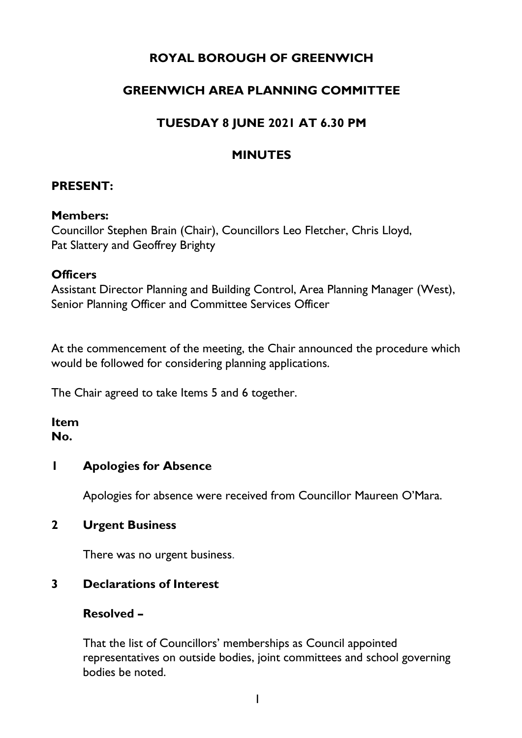# **ROYAL BOROUGH OF GREENWICH**

# **GREENWICH AREA PLANNING COMMITTEE**

# **TUESDAY 8 JUNE 2021 AT 6.30 PM**

# **MINUTES**

### **PRESENT:**

#### **Members:**

Councillor Stephen Brain (Chair), Councillors Leo Fletcher, Chris Lloyd, Pat Slattery and Geoffrey Brighty

#### **Officers**

Assistant Director Planning and Building Control, Area Planning Manager (West), Senior Planning Officer and Committee Services Officer

At the commencement of the meeting, the Chair announced the procedure which would be followed for considering planning applications.

The Chair agreed to take Items 5 and 6 together.

#### **Item No.**

# **1 Apologies for Absence**

Apologies for absence were received from Councillor Maureen O'Mara.

#### **2 Urgent Business**

There was no urgent business.

# **3 Declarations of Interest**

# **Resolved –**

That the list of Councillors' memberships as Council appointed representatives on outside bodies, joint committees and school governing bodies be noted.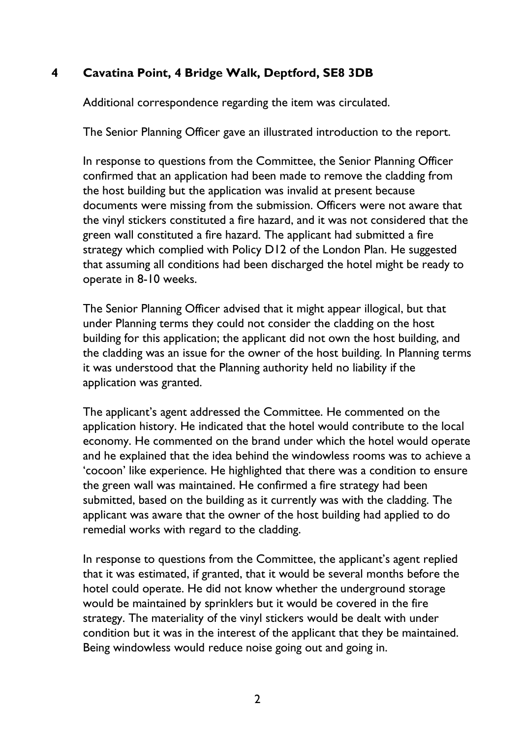# **4 Cavatina Point, 4 Bridge Walk, Deptford, SE8 3DB**

Additional correspondence regarding the item was circulated.

The Senior Planning Officer gave an illustrated introduction to the report.

In response to questions from the Committee, the Senior Planning Officer confirmed that an application had been made to remove the cladding from the host building but the application was invalid at present because documents were missing from the submission. Officers were not aware that the vinyl stickers constituted a fire hazard, and it was not considered that the green wall constituted a fire hazard. The applicant had submitted a fire strategy which complied with Policy D12 of the London Plan. He suggested that assuming all conditions had been discharged the hotel might be ready to operate in 8-10 weeks.

The Senior Planning Officer advised that it might appear illogical, but that under Planning terms they could not consider the cladding on the host building for this application; the applicant did not own the host building, and the cladding was an issue for the owner of the host building. In Planning terms it was understood that the Planning authority held no liability if the application was granted.

The applicant's agent addressed the Committee. He commented on the application history. He indicated that the hotel would contribute to the local economy. He commented on the brand under which the hotel would operate and he explained that the idea behind the windowless rooms was to achieve a 'cocoon' like experience. He highlighted that there was a condition to ensure the green wall was maintained. He confirmed a fire strategy had been submitted, based on the building as it currently was with the cladding. The applicant was aware that the owner of the host building had applied to do remedial works with regard to the cladding.

In response to questions from the Committee, the applicant's agent replied that it was estimated, if granted, that it would be several months before the hotel could operate. He did not know whether the underground storage would be maintained by sprinklers but it would be covered in the fire strategy. The materiality of the vinyl stickers would be dealt with under condition but it was in the interest of the applicant that they be maintained. Being windowless would reduce noise going out and going in.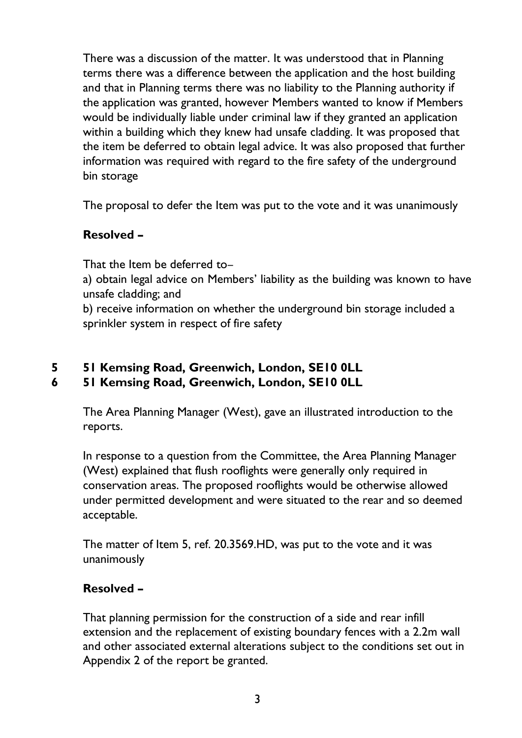There was a discussion of the matter. It was understood that in Planning terms there was a difference between the application and the host building and that in Planning terms there was no liability to the Planning authority if the application was granted, however Members wanted to know if Members would be individually liable under criminal law if they granted an application within a building which they knew had unsafe cladding. It was proposed that the item be deferred to obtain legal advice. It was also proposed that further information was required with regard to the fire safety of the underground bin storage

The proposal to defer the Item was put to the vote and it was unanimously

# **Resolved –**

That the Item be deferred to–

a) obtain legal advice on Members' liability as the building was known to have unsafe cladding; and

b) receive information on whether the underground bin storage included a sprinkler system in respect of fire safety

# **5 51 Kemsing Road, Greenwich, London, SE10 0LL**

# **6 51 Kemsing Road, Greenwich, London, SE10 0LL**

The Area Planning Manager (West), gave an illustrated introduction to the reports.

In response to a question from the Committee, the Area Planning Manager (West) explained that flush rooflights were generally only required in conservation areas. The proposed rooflights would be otherwise allowed under permitted development and were situated to the rear and so deemed acceptable.

The matter of Item 5, ref. 20.3569.HD, was put to the vote and it was unanimously

# **Resolved –**

That planning permission for the construction of a side and rear infill extension and the replacement of existing boundary fences with a 2.2m wall and other associated external alterations subject to the conditions set out in Appendix 2 of the report be granted.